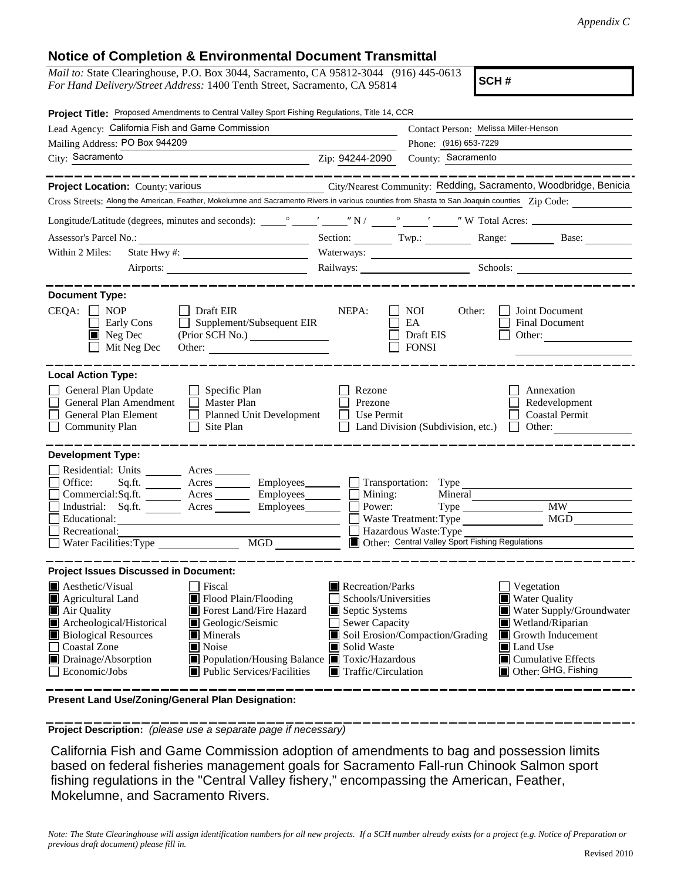## **Notice of Completion & Environmental Document Transmittal**

| <i>Mail to:</i> State Clearinghouse, P.O. Box 3044, Sacramento, CA 95812-3044 (916) 445-0613 |  |
|----------------------------------------------------------------------------------------------|--|
| <i>For Hand Delivery/Street Address:</i> 1400 Tenth Street, Sacramento, CA 95814             |  |

**SCH #**

| Project Title: Proposed Amendments to Central Valley Sport Fishing Regulations, Title 14, CCR                                                                                                              |                                                                                                                                               |  |  |
|------------------------------------------------------------------------------------------------------------------------------------------------------------------------------------------------------------|-----------------------------------------------------------------------------------------------------------------------------------------------|--|--|
| Lead Agency: California Fish and Game Commission                                                                                                                                                           | Contact Person: Melissa Miller-Henson                                                                                                         |  |  |
| Mailing Address: PO Box 944209                                                                                                                                                                             | Phone: (916) 653-7229                                                                                                                         |  |  |
| City: Sacramento<br><u> 1989 - Johann Barn, mars eta biztanleria (</u>                                                                                                                                     | County: Sacramento<br>Zip: 94244-2090                                                                                                         |  |  |
| _________                                                                                                                                                                                                  |                                                                                                                                               |  |  |
| Project Location: County: Various                                                                                                                                                                          | City/Nearest Community: Redding, Sacramento, Woodbridge, Benicia                                                                              |  |  |
|                                                                                                                                                                                                            | Cross Streets: Along the American, Feather, Mokelumne and Sacramento Rivers in various counties from Shasta to San Joaquin counties Zip Code: |  |  |
|                                                                                                                                                                                                            |                                                                                                                                               |  |  |
|                                                                                                                                                                                                            | Section: Twp.: Twp.: Range: Base: Base:                                                                                                       |  |  |
| Within 2 Miles:                                                                                                                                                                                            |                                                                                                                                               |  |  |
|                                                                                                                                                                                                            | Railways: Schools: Schools:                                                                                                                   |  |  |
|                                                                                                                                                                                                            |                                                                                                                                               |  |  |
| <b>Document Type:</b><br>$CEQA: \Box NOP$<br>$\Box$ Draft EIR<br>$\Box$ Supplement/Subsequent EIR<br>Early Cons<br>$\blacksquare$ Neg Dec<br>(Prior SCH No.)<br>Mit Neg Dec<br>Other:                      | NEPA:<br>Joint Document<br><b>NOI</b><br>Other:<br>EA<br><b>Final Document</b><br>Draft EIS<br>Other:<br><b>FONSI</b>                         |  |  |
| <b>Local Action Type:</b>                                                                                                                                                                                  |                                                                                                                                               |  |  |
| General Plan Update<br>$\Box$ Specific Plan<br>General Plan Amendment<br>$\Box$ Master Plan<br>General Plan Element<br>Planned Unit Development<br>$\Box$<br><b>Community Plan</b><br>Site Plan<br>$\perp$ | Annexation<br>Rezone<br>Prezone<br>Redevelopment<br>Use Permit<br><b>Coastal Permit</b><br>Land Division (Subdivision, etc.)<br>$\Box$ Other: |  |  |
| <b>Development Type:</b><br>Residential: Units ________ Acres _______                                                                                                                                      |                                                                                                                                               |  |  |
| Office:<br>$Sq.fit.$ Acres<br>Employees_______                                                                                                                                                             | Transportation: Type                                                                                                                          |  |  |
| Commercial:Sq.ft. ________ Acres _________ Employees ________ $\Box$                                                                                                                                       | Mining:<br>Mineral                                                                                                                            |  |  |
| Industrial: Sq.ft.<br>Acres Employees<br>Educational:                                                                                                                                                      | <b>MW</b><br>Power:<br>$Type \_\_$<br>MGD<br>Waste Treatment: Type                                                                            |  |  |
| Recreational:                                                                                                                                                                                              | Hazardous Waste: Type                                                                                                                         |  |  |
| MGD<br>Water Facilities: Type                                                                                                                                                                              | Other: Central Valley Sport Fishing Regulations                                                                                               |  |  |
|                                                                                                                                                                                                            |                                                                                                                                               |  |  |
| <b>Project Issues Discussed in Document:</b>                                                                                                                                                               |                                                                                                                                               |  |  |
| <b>A</b> esthetic/Visual<br>  Fiscal                                                                                                                                                                       | Recreation/Parks<br>Vegetation                                                                                                                |  |  |
| Flood Plain/Flooding<br>Agricultural Land<br>Forest Land/Fire Hazard<br>$\blacksquare$ Air Quality                                                                                                         | <b>Water Quality</b><br>Schools/Universities<br>Septic Systems<br>Water Supply/Groundwater                                                    |  |  |
| Geologic/Seismic<br>Archeological/Historical                                                                                                                                                               | Sewer Capacity<br>Wetland/Riparian                                                                                                            |  |  |
| <b>Biological Resources</b><br>Minerals                                                                                                                                                                    | Soil Erosion/Compaction/Grading<br>$\blacksquare$ Growth Inducement                                                                           |  |  |
| <b>Coastal Zone</b><br>Noise                                                                                                                                                                               | Solid Waste<br>Land Use                                                                                                                       |  |  |
| Drainage/Absorption<br>■ Population/Housing Balance ■ Toxic/Hazardous<br>Economic/Jobs<br>■ Public Services/Facilities                                                                                     | $\blacksquare$ Cumulative Effects<br>Other: GHG, Fishing<br>$\blacksquare$ Traffic/Circulation                                                |  |  |
|                                                                                                                                                                                                            |                                                                                                                                               |  |  |

**Present Land Use/Zoning/General Plan Designation:**

**Project Description:** *(please use a separate page if necessary)*

 California Fish and Game Commission adoption of amendments to bag and possession limits based on federal fisheries management goals for Sacramento Fall-run Chinook Salmon sport fishing regulations in the "Central Valley fishery," encompassing the American, Feather, Mokelumne, and Sacramento Rivers.

*Note: The State Clearinghouse will assign identification numbers for all new projects. If a SCH number already exists for a project (e.g. Notice of Preparation or previous draft document) please fill in.*